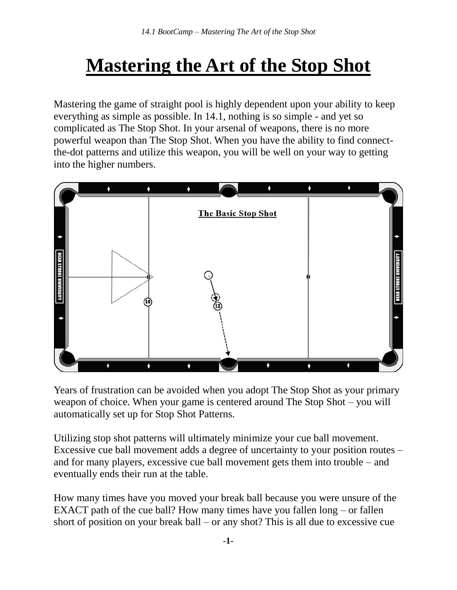## **Mastering the Art of the Stop Shot**

Mastering the game of straight pool is highly dependent upon your ability to keep everything as simple as possible. In 14.1, nothing is so simple - and yet so complicated as The Stop Shot. In your arsenal of weapons, there is no more powerful weapon than The Stop Shot. When you have the ability to find connectthe-dot patterns and utilize this weapon, you will be well on your way to getting into the higher numbers.



Years of frustration can be avoided when you adopt The Stop Shot as your primary weapon of choice. When your game is centered around The Stop Shot – you will automatically set up for Stop Shot Patterns.

Utilizing stop shot patterns will ultimately minimize your cue ball movement. Excessive cue ball movement adds a degree of uncertainty to your position routes – and for many players, excessive cue ball movement gets them into trouble – and eventually ends their run at the table.

How many times have you moved your break ball because you were unsure of the EXACT path of the cue ball? How many times have you fallen long – or fallen short of position on your break ball – or any shot? This is all due to excessive cue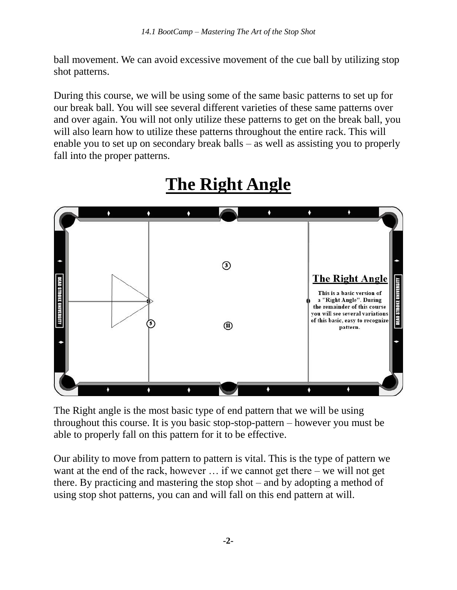ball movement. We can avoid excessive movement of the cue ball by utilizing stop shot patterns.

During this course, we will be using some of the same basic patterns to set up for our break ball. You will see several different varieties of these same patterns over and over again. You will not only utilize these patterns to get on the break ball, you will also learn how to utilize these patterns throughout the entire rack. This will enable you to set up on secondary break balls – as well as assisting you to properly fall into the proper patterns.



## **The Right Angle**

The Right angle is the most basic type of end pattern that we will be using throughout this course. It is you basic stop-stop-pattern – however you must be able to properly fall on this pattern for it to be effective.

Our ability to move from pattern to pattern is vital. This is the type of pattern we want at the end of the rack, however … if we cannot get there – we will not get there. By practicing and mastering the stop shot – and by adopting a method of using stop shot patterns, you can and will fall on this end pattern at will.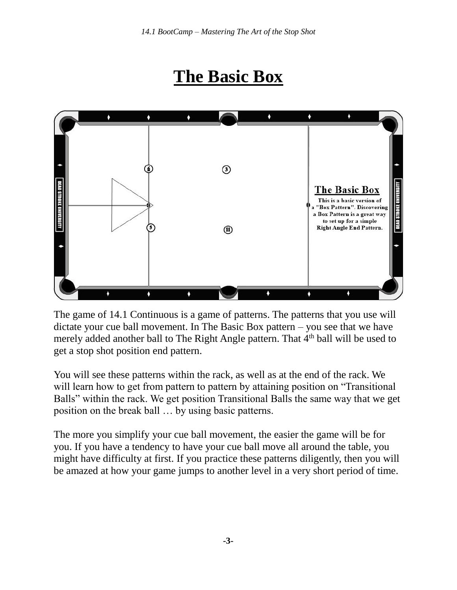## **The Basic Box**



The game of 14.1 Continuous is a game of patterns. The patterns that you use will dictate your cue ball movement. In The Basic Box pattern – you see that we have merely added another ball to The Right Angle pattern. That 4<sup>th</sup> ball will be used to get a stop shot position end pattern.

You will see these patterns within the rack, as well as at the end of the rack. We will learn how to get from pattern to pattern by attaining position on "Transitional" Balls" within the rack. We get position Transitional Balls the same way that we get position on the break ball … by using basic patterns.

The more you simplify your cue ball movement, the easier the game will be for you. If you have a tendency to have your cue ball move all around the table, you might have difficulty at first. If you practice these patterns diligently, then you will be amazed at how your game jumps to another level in a very short period of time.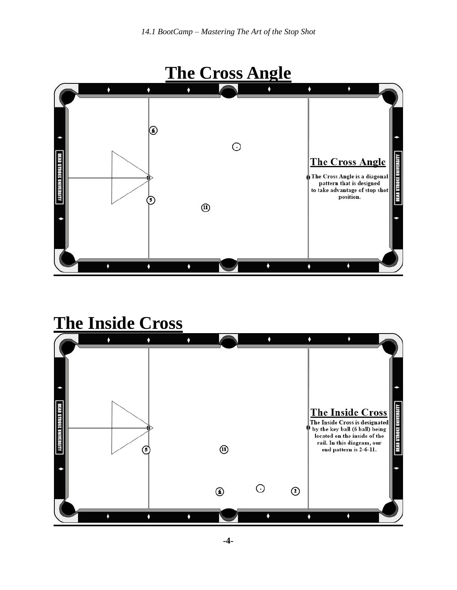